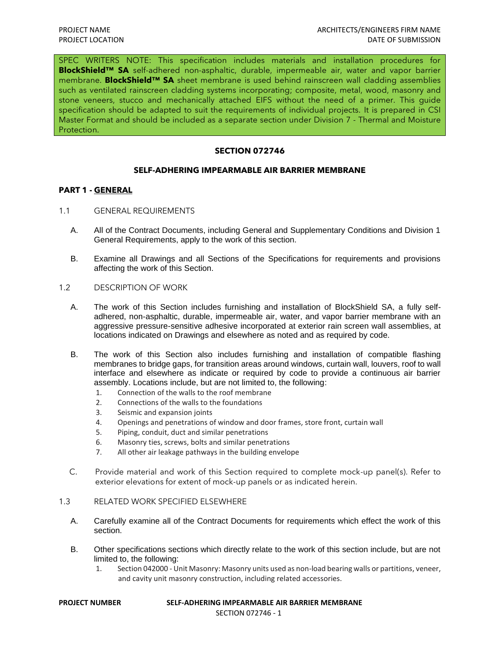SPEC WRITERS NOTE: This specification includes materials and installation procedures for **BlockShield™ SA** self-adhered non-asphaltic, durable, impermeable air, water and vapor barrier membrane. **BlockShield™ SA** sheet membrane is used behind rainscreen wall cladding assemblies such as ventilated rainscreen cladding systems incorporating; composite, metal, wood, masonry and stone veneers, stucco and mechanically attached EIFS without the need of a primer. This guide specification should be adapted to suit the requirements of individual projects. It is prepared in CSI Master Format and should be included as a separate section under Division 7 - Thermal and Moisture Protection.

## **SECTION 072746**

## **SELF-ADHERING IMPEARMABLE AIR BARRIER MEMBRANE**

## **PART 1 - GENERAL**

- 1.1 GENERAL REQUIREMENTS
	- A. All of the Contract Documents, including General and Supplementary Conditions and Division 1 General Requirements, apply to the work of this section.
	- B. Examine all Drawings and all Sections of the Specifications for requirements and provisions affecting the work of this Section.
- 1.2 DESCRIPTION OF WORK
	- A. The work of this Section includes furnishing and installation of BlockShield SA, a fully selfadhered, non-asphaltic, durable, impermeable air, water, and vapor barrier membrane with an aggressive pressure-sensitive adhesive incorporated at exterior rain screen wall assemblies, at locations indicated on Drawings and elsewhere as noted and as required by code.
	- B. The work of this Section also includes furnishing and installation of compatible flashing membranes to bridge gaps, for transition areas around windows, curtain wall, louvers, roof to wall interface and elsewhere as indicate or required by code to provide a continuous air barrier assembly. Locations include, but are not limited to, the following:
		- 1. Connection of the walls to the roof membrane
		- 2. Connections of the walls to the foundations
		- 3. Seismic and expansion joints
		- 4. Openings and penetrations of window and door frames, store front, curtain wall
		- 5. Piping, conduit, duct and similar penetrations
		- 6. Masonry ties, screws, bolts and similar penetrations
		- 7. All other air leakage pathways in the building envelope
	- C. Provide material and work of this Section required to complete mock-up panel(s). Refer to exterior elevations for extent of mock-up panels or as indicated herein.

# 1.3 RELATED WORK SPECIFIED ELSEWHERE

- A. Carefully examine all of the Contract Documents for requirements which effect the work of this section.
- B. Other specifications sections which directly relate to the work of this section include, but are not limited to, the following:
	- 1. Section 042000 Unit Masonry: Masonry units used as non-load bearing walls or partitions, veneer, and cavity unit masonry construction, including related accessories.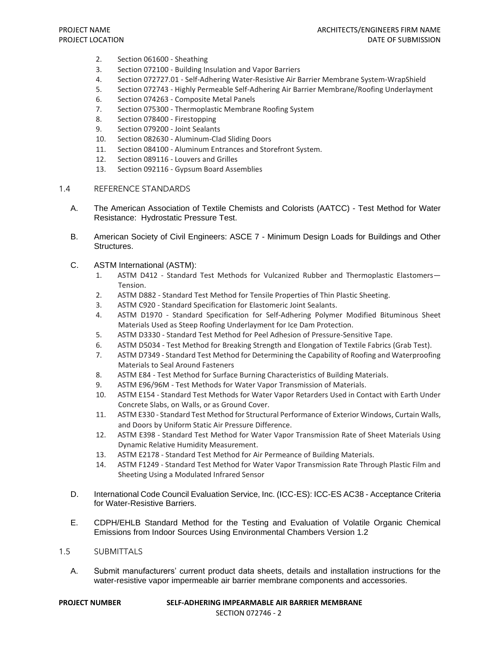- 2. Section 061600 Sheathing
- 3. Section 072100 Building Insulation and Vapor Barriers
- 4. Section 072727.01 Self-Adhering Water-Resistive Air Barrier Membrane System-WrapShield
- 5. Section 072743 Highly Permeable Self-Adhering Air Barrier Membrane/Roofing Underlayment
- 6. Section 074263 Composite Metal Panels
- 7. Section 075300 Thermoplastic Membrane Roofing System
- 8. Section 078400 Firestopping
- 9. Section 079200 Joint Sealants
- 10. Section 082630 Aluminum-Clad Sliding Doors
- 11. Section 084100 Aluminum Entrances and Storefront System.
- 12. Section 089116 Louvers and Grilles
- 13. Section 092116 Gypsum Board Assemblies
- 1.4 REFERENCE STANDARDS
	- A. The American Association of Textile Chemists and Colorists (AATCC) Test Method for Water Resistance: Hydrostatic Pressure Test.
	- B. American Society of Civil Engineers: ASCE 7 Minimum Design Loads for Buildings and Other Structures.
	- C. ASTM International (ASTM):
		- 1. ASTM D412 Standard Test Methods for Vulcanized Rubber and Thermoplastic Elastomers— Tension.
		- 2. ASTM D882 Standard Test Method for Tensile Properties of Thin Plastic Sheeting.
		- 3. ASTM C920 Standard Specification for Elastomeric Joint Sealants.
		- 4. ASTM D1970 Standard Specification for Self-Adhering Polymer Modified Bituminous Sheet Materials Used as Steep Roofing Underlayment for Ice Dam Protection.
		- 5. ASTM D3330 Standard Test Method for Peel Adhesion of Pressure-Sensitive Tape.
		- 6. ASTM D5034 Test Method for Breaking Strength and Elongation of Textile Fabrics (Grab Test).
		- 7. ASTM D7349 Standard Test Method for Determining the Capability of Roofing and Waterproofing Materials to Seal Around Fasteners
		- 8. ASTM E84 Test Method for Surface Burning Characteristics of Building Materials.
		- 9. ASTM E96/96M Test Methods for Water Vapor Transmission of Materials.
		- 10. ASTM E154 Standard Test Methods for Water Vapor Retarders Used in Contact with Earth Under Concrete Slabs, on Walls, or as Ground Cover.
		- 11. ASTM E330 Standard Test Method for Structural Performance of Exterior Windows, Curtain Walls, and Doors by Uniform Static Air Pressure Difference.
		- 12. ASTM E398 Standard Test Method for Water Vapor Transmission Rate of Sheet Materials Using Dynamic Relative Humidity Measurement.
		- 13. ASTM E2178 Standard Test Method for Air Permeance of Building Materials.
		- 14. ASTM F1249 Standard Test Method for Water Vapor Transmission Rate Through Plastic Film and Sheeting Using a Modulated Infrared Sensor
	- D. International Code Council Evaluation Service, Inc. (ICC-ES): ICC-ES AC38 Acceptance Criteria for Water-Resistive Barriers.
	- E. CDPH/EHLB Standard Method for the Testing and Evaluation of Volatile Organic Chemical Emissions from Indoor Sources Using Environmental Chambers Version 1.2

#### 1.5 SUBMITTALS

A. Submit manufacturers' current product data sheets, details and installation instructions for the water-resistive vapor impermeable air barrier membrane components and accessories.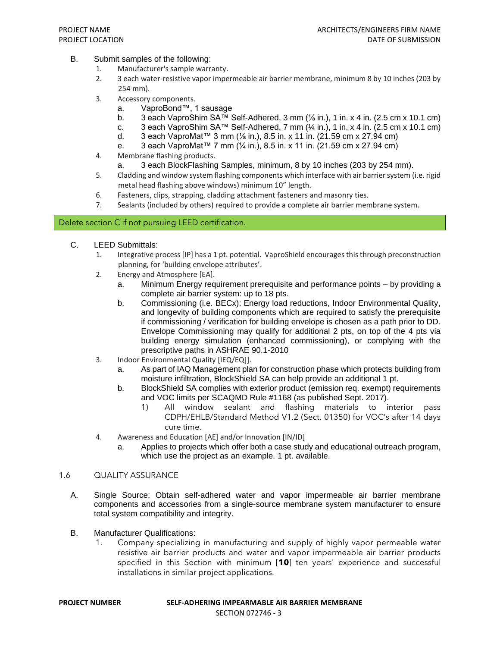- B. Submit samples of the following:
	- 1. Manufacturer's sample warranty.
	- 2. 3 each water-resistive vapor impermeable air barrier membrane, minimum 8 by 10 inches (203 by 254 mm).
	- 3. Accessory components.
		- a. VaproBond™, 1 sausage
		- b. 3 each VaproShim SA<sup>TM</sup> Self-Adhered, 3 mm  $\frac{1}{6}$  in.), 1 in. x 4 in. (2.5 cm x 10.1 cm)
		- c. 3 each VaproShim SA<sup>TM</sup> Self-Adhered, 7 mm  $(½ \text{in.})$ , 1 in. x 4 in.  $(2.5 \text{ cm} \times 10.1 \text{ cm})$ 
			- d. 3 each VaproMat™ 3 mm (1/<sub>8</sub> in.), 8.5 in. x 11 in. (21.59 cm x 27.94 cm)
			- e. 3 each VaproMat™ 7 mm (¼ in.), 8.5 in. x 11 in. (21.59 cm x 27.94 cm)
	- 4. Membrane flashing products.
		- a. 3 each BlockFlashing Samples, minimum, 8 by 10 inches (203 by 254 mm).
	- 5. Cladding and window system flashing components which interface with air barrier system (i.e. rigid metal head flashing above windows) minimum 10" length.
	- 6. Fasteners, clips, strapping, cladding attachment fasteners and masonry ties.
	- 7. Sealants (included by others) required to provide a complete air barrier membrane system.

## Delete section C if not pursuing LEED certification.

- C. LEED Submittals:
	- 1. Integrative process [IP] has a 1 pt. potential. VaproShield encourages this through preconstruction planning, for 'building envelope attributes'.
	- 2. Energy and Atmosphere [EA].
		- a. Minimum Energy requirement prerequisite and performance points by providing a complete air barrier system: up to 18 pts.
		- b. Commissioning (i.e. BECx): Energy load reductions, Indoor Environmental Quality, and longevity of building components which are required to satisfy the prerequisite if commissioning / verification for building envelope is chosen as a path prior to DD. Envelope Commissioning may qualify for additional 2 pts, on top of the 4 pts via building energy simulation (enhanced commissioning), or complying with the prescriptive paths in ASHRAE 90.1-2010
	- 3. Indoor Environmental Quality [IEQ/EQ]].
		- a. As part of IAQ Management plan for construction phase which protects building from moisture infiltration, BlockShield SA can help provide an additional 1 pt.
		- b. BlockShield SA complies with exterior product (emission req. exempt) requirements and VOC limits per SCAQMD Rule #1168 (as published Sept. 2017).
			- 1) All window sealant and flashing materials to interior pass CDPH/EHLB/Standard Method V1.2 (Sect. 01350) for VOC's after 14 days cure time.
	- 4. Awareness and Education [AE] and/or Innovation [IN/ID]
		- a. Applies to projects which offer both a case study and educational outreach program, which use the project as an example. 1 pt. available.

## 1.6 QUALITY ASSURANCE

- A. Single Source: Obtain self-adhered water and vapor impermeable air barrier membrane components and accessories from a single-source membrane system manufacturer to ensure total system compatibility and integrity.
- B. Manufacturer Qualifications:
	- 1. Company specializing in manufacturing and supply of highly vapor permeable water resistive air barrier products and water and vapor impermeable air barrier products specified in this Section with minimum [**10**] ten years' experience and successful installations in similar project applications.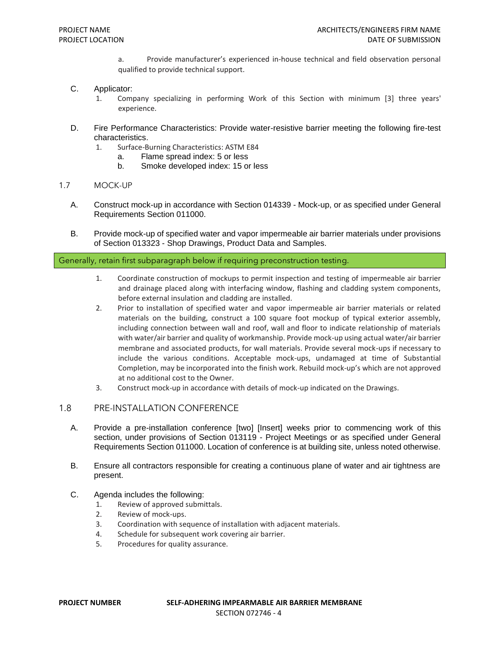a. Provide manufacturer's experienced in-house technical and field observation personal qualified to provide technical support.

### C. Applicator:

- 1. Company specializing in performing Work of this Section with minimum [3] three years' experience.
- D. Fire Performance Characteristics: Provide water-resistive barrier meeting the following fire-test characteristics.
	- 1. Surface-Burning Characteristics: ASTM E84
		- a. Flame spread index: 5 or less
			- b. Smoke developed index: 15 or less

### 1.7 MOCK-UP

- A. Construct mock-up in accordance with Section 014339 Mock-up, or as specified under General Requirements Section 011000.
- B. Provide mock-up of specified water and vapor impermeable air barrier materials under provisions of Section 013323 - Shop Drawings, Product Data and Samples.

#### Generally, retain first subparagraph below if requiring preconstruction testing.

- 1. Coordinate construction of mockups to permit inspection and testing of impermeable air barrier and drainage placed along with interfacing window, flashing and cladding system components, before external insulation and cladding are installed.
- 2. Prior to installation of specified water and vapor impermeable air barrier materials or related materials on the building, construct a 100 square foot mockup of typical exterior assembly, including connection between wall and roof, wall and floor to indicate relationship of materials with water/air barrier and quality of workmanship. Provide mock-up using actual water/air barrier membrane and associated products, for wall materials. Provide several mock-ups if necessary to include the various conditions. Acceptable mock-ups, undamaged at time of Substantial Completion, may be incorporated into the finish work. Rebuild mock-up's which are not approved at no additional cost to the Owner.
- 3. Construct mock-up in accordance with details of mock-up indicated on the Drawings.

### 1.8 PRE-INSTALLATION CONFERENCE

- A. Provide a pre-installation conference [two] [Insert] weeks prior to commencing work of this section, under provisions of Section 013119 - Project Meetings or as specified under General Requirements Section 011000. Location of conference is at building site, unless noted otherwise.
- B. Ensure all contractors responsible for creating a continuous plane of water and air tightness are present.
- C. Agenda includes the following:
	- 1. Review of approved submittals.
	- 2. Review of mock-ups.
	- 3. Coordination with sequence of installation with adjacent materials.
	- 4. Schedule for subsequent work covering air barrier.
	- 5. Procedures for quality assurance.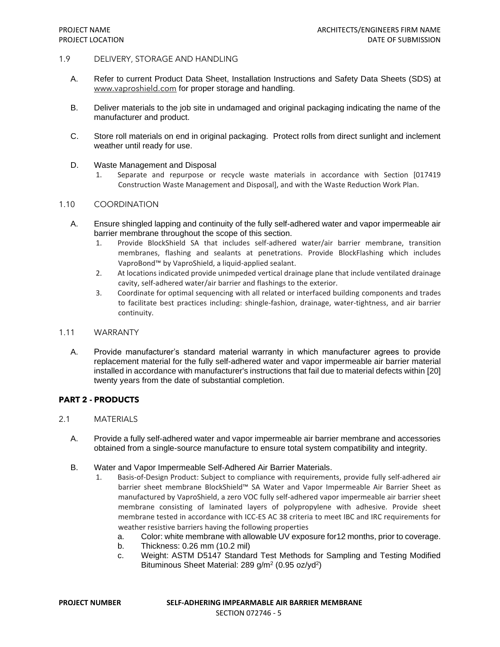### 1.9 DELIVERY, STORAGE AND HANDLING

- A. Refer to current Product Data Sheet, Installation Instructions and Safety Data Sheets (SDS) at [www.vaproshield.com](http://www.vaproshield.com/) for proper storage and handling.
- B. Deliver materials to the job site in undamaged and original packaging indicating the name of the manufacturer and product.
- C. Store roll materials on end in original packaging. Protect rolls from direct sunlight and inclement weather until ready for use.
- D. Waste Management and Disposal
	- 1. Separate and repurpose or recycle waste materials in accordance with Section [017419 Construction Waste Management and Disposal], and with the Waste Reduction Work Plan.

## 1.10 COORDINATION

- A. Ensure shingled lapping and continuity of the fully self-adhered water and vapor impermeable air barrier membrane throughout the scope of this section.
	- 1. Provide BlockShield SA that includes self-adhered water/air barrier membrane, transition membranes, flashing and sealants at penetrations. Provide BlockFlashing which includes VaproBond™ by VaproShield, a liquid-applied sealant.
	- 2. At locations indicated provide unimpeded vertical drainage plane that include ventilated drainage cavity, self-adhered water/air barrier and flashings to the exterior.
	- 3. Coordinate for optimal sequencing with all related or interfaced building components and trades to facilitate best practices including: shingle-fashion, drainage, water-tightness, and air barrier continuity.

### 1.11 WARRANTY

A. Provide manufacturer's standard material warranty in which manufacturer agrees to provide replacement material for the fully self-adhered water and vapor impermeable air barrier material installed in accordance with manufacturer's instructions that fail due to material defects within [20] twenty years from the date of substantial completion.

# **PART 2 - PRODUCTS**

- 2.1 MATERIALS
	- A. Provide a fully self-adhered water and vapor impermeable air barrier membrane and accessories obtained from a single-source manufacture to ensure total system compatibility and integrity.
	- B. Water and Vapor Impermeable Self-Adhered Air Barrier Materials.
		- 1. Basis-of-Design Product: Subject to compliance with requirements, provide fully self-adhered air barrier sheet membrane BlockShield™ SA Water and Vapor Impermeable Air Barrier Sheet as manufactured by VaproShield, a zero VOC fully self-adhered vapor impermeable air barrier sheet membrane consisting of laminated layers of polypropylene with adhesive. Provide sheet membrane tested in accordance with ICC-ES AC 38 criteria to meet IBC and IRC requirements for weather resistive barriers having the following properties
			- a. Color: white membrane with allowable UV exposure for12 months, prior to coverage.
			- b. Thickness: 0.26 mm (10.2 mil)
			- c. Weight: ASTM D5147 Standard Test Methods for Sampling and Testing Modified Bituminous Sheet Material: 289 g/m<sup>2</sup> (0.95 oz/yd<sup>2</sup>)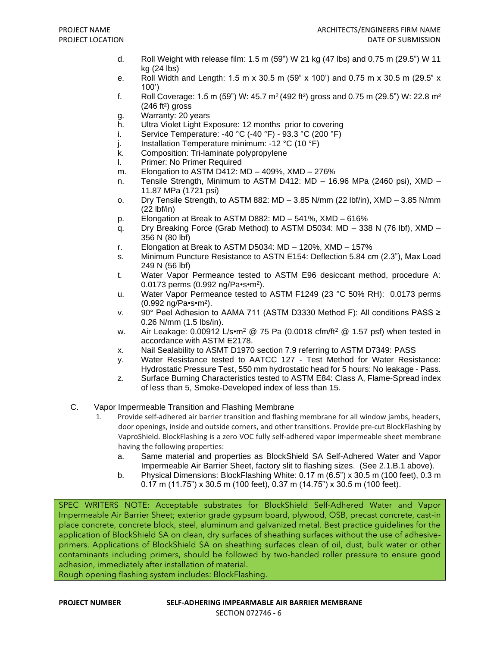- d. Roll Weight with release film: 1.5 m (59") W 21 kg (47 lbs) and 0.75 m (29.5") W 11 kg (24 lbs)
- e. Roll Width and Length: 1.5 m x 30.5 m (59" x 100') and 0.75 m x 30.5 m (29.5" x 100')
- f. Roll Coverage: 1.5 m (59") W: 45.7  $m^2$  (492 ft<sup>2</sup>) gross and 0.75 m (29.5") W: 22.8  $m^2$  $(246 ft<sup>2</sup>)$  gross
- g. Warranty: 20 years
- h. Ultra Violet Light Exposure: 12 months prior to covering
- i. Service Temperature: -40 °C (-40 °F) 93.3 °C (200 °F)
- j. Installation Temperature minimum: -12 °C (10 °F)
- k. Composition: Tri-laminate polypropylene
- l. Primer: No Primer Required
- m. Elongation to ASTM D412: MD 409%, XMD 276%
- n. Tensile Strength, Minimum to ASTM D412: MD 16.96 MPa (2460 psi), XMD 11.87 MPa (1721 psi)
- o. Dry Tensile Strength, to ASTM 882: MD 3.85 N/mm (22 lbf/in), XMD 3.85 N/mm (22 lbf/in)
- p. Elongation at Break to ASTM D882: MD 541%, XMD 616%
- q. Dry Breaking Force (Grab Method) to ASTM D5034: MD 338 N (76 lbf), XMD 356 N (80 lbf)
- r. Elongation at Break to ASTM D5034: MD 120%, XMD 157%
- s. Minimum Puncture Resistance to ASTN E154: Deflection 5.84 cm (2.3"), Max Load 249 N (56 lbf)
- t. Water Vapor Permeance tested to ASTM E96 desiccant method, procedure A: 0.0173 perms (0.992 ng/Pa•s•m<sup>2</sup>).
- u. Water Vapor Permeance tested to ASTM F1249 (23 °C 50% RH): 0.0173 perms (0.992 ng/Pa•s•m<sup>2</sup> ).
- v. 90° Peel Adhesion to AAMA 711 (ASTM D3330 Method F): All conditions PASS ≥ 0.26 N/mm (1.5 lbs/in).
- w. Air Leakage:  $0.00912$  L/s $\cdot$ m<sup>2</sup> @ 75 Pa (0.0018 cfm/ft<sup>2</sup> @ 1.57 psf) when tested in accordance with ASTM E2178.
- x. Nail Sealability to ASMT D1970 section 7.9 referring to ASTM D7349: PASS
- y. Water Resistance tested to AATCC 127 Test Method for Water Resistance: Hydrostatic Pressure Test, 550 mm hydrostatic head for 5 hours: No leakage - Pass.
- z. Surface Burning Characteristics tested to ASTM E84: Class A, Flame-Spread index of less than 5, Smoke-Developed index of less than 15.
- C. Vapor Impermeable Transition and Flashing Membrane
	- 1. Provide self-adhered air barrier transition and flashing membrane for all window jambs, headers, door openings, inside and outside corners, and other transitions. Provide pre-cut BlockFlashing by VaproShield. BlockFlashing is a zero VOC fully self-adhered vapor impermeable sheet membrane having the following properties:
		- a. Same material and properties as BlockShield SA Self-Adhered Water and Vapor Impermeable Air Barrier Sheet, factory slit to flashing sizes. (See 2.1.B.1 above).
		- b. Physical Dimensions: BlockFlashing White: 0.17 m (6.5") x 30.5 m (100 feet), 0.3 m 0.17 m (11.75") x 30.5 m (100 feet), 0.37 m (14.75") x 30.5 m (100 feet).

SPEC WRITERS NOTE: Acceptable substrates for BlockShield Self-Adhered Water and Vapor Impermeable Air Barrier Sheet; exterior grade gypsum board, plywood, OSB, precast concrete, cast-in place concrete, concrete block, steel, aluminum and galvanized metal. Best practice guidelines for the application of BlockShield SA on clean, dry surfaces of sheathing surfaces without the use of adhesiveprimers. Applications of BlockShield SA on sheathing surfaces clean of oil, dust, bulk water or other contaminants including primers, should be followed by two-handed roller pressure to ensure good adhesion, immediately after installation of material.

Rough opening flashing system includes: BlockFlashing.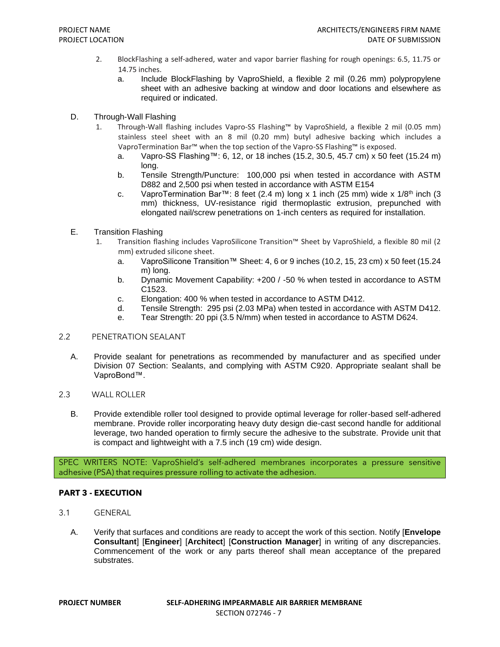- 2. BlockFlashing a self-adhered, water and vapor barrier flashing for rough openings: 6.5, 11.75 or 14.75 inches.
	- a. Include BlockFlashing by VaproShield, a flexible 2 mil (0.26 mm) polypropylene sheet with an adhesive backing at window and door locations and elsewhere as required or indicated.
- D. Through-Wall Flashing
	- 1. Through-Wall flashing includes Vapro-SS Flashing™ by VaproShield, a flexible 2 mil (0.05 mm) stainless steel sheet with an 8 mil (0.20 mm) butyl adhesive backing which includes a VaproTermination Bar™ when the top section of the Vapro-SS Flashing™ is exposed.
		- a. Vapro-SS Flashing™: 6, 12, or 18 inches (15.2, 30.5, 45.7 cm) x 50 feet (15.24 m) long.
		- b. Tensile Strength/Puncture: 100,000 psi when tested in accordance with ASTM D882 and 2,500 psi when tested in accordance with ASTM E154
		- c. VaproTermination Bar™: 8 feet (2.4 m) long x 1 inch (25 mm) wide x  $1/8<sup>th</sup>$  inch (3 mm) thickness, UV-resistance rigid thermoplastic extrusion, prepunched with elongated nail/screw penetrations on 1-inch centers as required for installation.
- E. Transition Flashing
	- 1. Transition flashing includes VaproSilicone Transition™ Sheet by VaproShield, a flexible 80 mil (2 mm) extruded silicone sheet.
		- a. VaproSilicone Transition™ Sheet: 4, 6 or 9 inches (10.2, 15, 23 cm) x 50 feet (15.24 m) long.
		- b. Dynamic Movement Capability: +200 / -50 % when tested in accordance to ASTM C1523.
		- c. Elongation: 400 % when tested in accordance to ASTM D412.
		- d. Tensile Strength: 295 psi (2.03 MPa) when tested in accordance with ASTM D412.
		- e. Tear Strength: 20 ppi (3.5 N/mm) when tested in accordance to ASTM D624.

### 2.2 PENETRATION SEALANT

- A. Provide sealant for penetrations as recommended by manufacturer and as specified under Division 07 Section: Sealants, and complying with ASTM C920. Appropriate sealant shall be VaproBond™.
- 2.3 WALL ROLLER
	- B. Provide extendible roller tool designed to provide optimal leverage for roller-based self-adhered membrane. Provide roller incorporating heavy duty design die-cast second handle for additional leverage, two handed operation to firmly secure the adhesive to the substrate. Provide unit that is compact and lightweight with a 7.5 inch (19 cm) wide design.

SPEC WRITERS NOTE: VaproShield's self-adhered membranes incorporates a pressure sensitive adhesive (PSA) that requires pressure rolling to activate the adhesion.

### **PART 3 - EXECUTION**

- 3.1 GENERAL
	- A. Verify that surfaces and conditions are ready to accept the work of this section. Notify [**Envelope Consultant**] [**Engineer**] [**Architect**] [**Construction Manager**] in writing of any discrepancies. Commencement of the work or any parts thereof shall mean acceptance of the prepared substrates.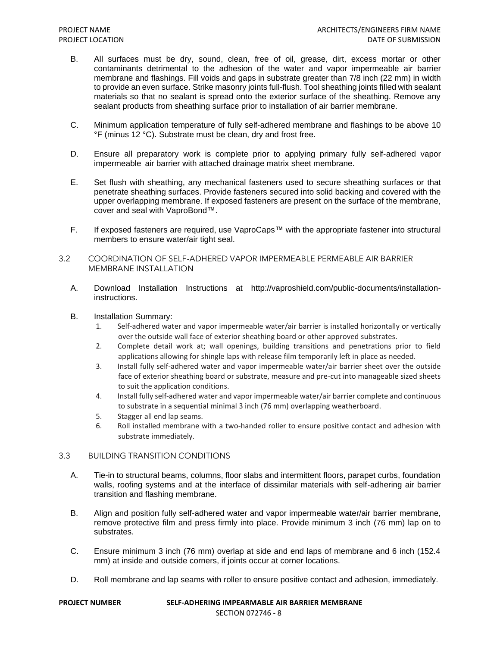- B. All surfaces must be dry, sound, clean, free of oil, grease, dirt, excess mortar or other contaminants detrimental to the adhesion of the water and vapor impermeable air barrier membrane and flashings. Fill voids and gaps in substrate greater than 7/8 inch (22 mm) in width to provide an even surface. Strike masonry joints full-flush. Tool sheathing joints filled with sealant materials so that no sealant is spread onto the exterior surface of the sheathing. Remove any sealant products from sheathing surface prior to installation of air barrier membrane.
- C. Minimum application temperature of fully self-adhered membrane and flashings to be above 10 °F (minus 12 °C). Substrate must be clean, dry and frost free.
- D. Ensure all preparatory work is complete prior to applying primary fully self-adhered vapor impermeable air barrier with attached drainage matrix sheet membrane.
- E. Set flush with sheathing, any mechanical fasteners used to secure sheathing surfaces or that penetrate sheathing surfaces. Provide fasteners secured into solid backing and covered with the upper overlapping membrane. If exposed fasteners are present on the surface of the membrane, cover and seal with VaproBond™.
- F. If exposed fasteners are required, use VaproCaps™ with the appropriate fastener into structural members to ensure water/air tight seal.
- 3.2 COORDINATION OF SELF-ADHERED VAPOR IMPERMEABLE PERMEABLE AIR BARRIER MEMBRANE INSTALLATION
	- A. Download Installation Instructions at http://vaproshield.com/public-documents/installationinstructions.
	- B. Installation Summary:
		- 1. Self-adhered water and vapor impermeable water/air barrier is installed horizontally or vertically over the outside wall face of exterior sheathing board or other approved substrates.
		- 2. Complete detail work at; wall openings, building transitions and penetrations prior to field applications allowing for shingle laps with release film temporarily left in place as needed.
		- 3. Install fully self-adhered water and vapor impermeable water/air barrier sheet over the outside face of exterior sheathing board or substrate, measure and pre-cut into manageable sized sheets to suit the application conditions.
		- 4. Install fully self-adhered water and vapor impermeable water/air barrier complete and continuous to substrate in a sequential minimal 3 inch (76 mm) overlapping weatherboard.
		- 5. Stagger all end lap seams.
		- 6. Roll installed membrane with a two-handed roller to ensure positive contact and adhesion with substrate immediately.

# 3.3 BUILDING TRANSITION CONDITIONS

- A. Tie-in to structural beams, columns, floor slabs and intermittent floors, parapet curbs, foundation walls, roofing systems and at the interface of dissimilar materials with self-adhering air barrier transition and flashing membrane.
- B. Align and position fully self-adhered water and vapor impermeable water/air barrier membrane, remove protective film and press firmly into place. Provide minimum 3 inch (76 mm) lap on to substrates.
- C. Ensure minimum 3 inch (76 mm) overlap at side and end laps of membrane and 6 inch (152.4 mm) at inside and outside corners, if joints occur at corner locations.
- D. Roll membrane and lap seams with roller to ensure positive contact and adhesion, immediately.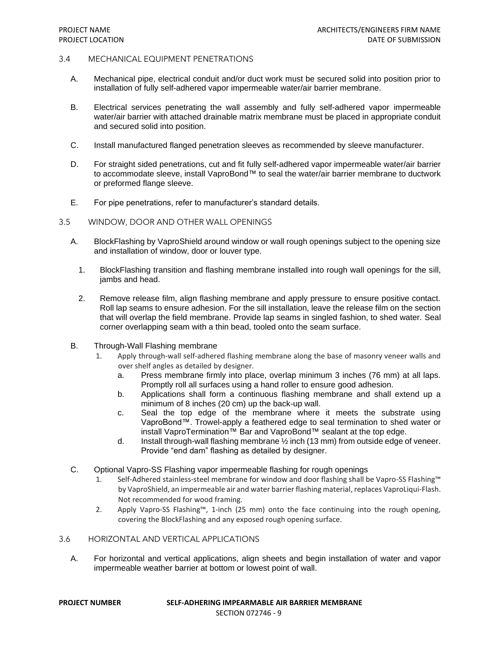### 3.4 MECHANICAL EQUIPMENT PENETRATIONS

- A. Mechanical pipe, electrical conduit and/or duct work must be secured solid into position prior to installation of fully self-adhered vapor impermeable water/air barrier membrane.
- B. Electrical services penetrating the wall assembly and fully self-adhered vapor impermeable water/air barrier with attached drainable matrix membrane must be placed in appropriate conduit and secured solid into position.
- C. Install manufactured flanged penetration sleeves as recommended by sleeve manufacturer.
- D. For straight sided penetrations, cut and fit fully self-adhered vapor impermeable water/air barrier to accommodate sleeve, install VaproBond™ to seal the water/air barrier membrane to ductwork or preformed flange sleeve.
- E. For pipe penetrations, refer to manufacturer's standard details.
- 3.5 WINDOW, DOOR AND OTHER WALL OPENINGS
	- A. BlockFlashing by VaproShield around window or wall rough openings subject to the opening size and installation of window, door or louver type.
		- 1. BlockFlashing transition and flashing membrane installed into rough wall openings for the sill, jambs and head.
		- 2. Remove release film, align flashing membrane and apply pressure to ensure positive contact. Roll lap seams to ensure adhesion. For the sill installation, leave the release film on the section that will overlap the field membrane. Provide lap seams in singled fashion, to shed water. Seal corner overlapping seam with a thin bead, tooled onto the seam surface.
	- B. Through-Wall Flashing membrane
		- 1. Apply through-wall self-adhered flashing membrane along the base of masonry veneer walls and over shelf angles as detailed by designer.
			- a. Press membrane firmly into place, overlap minimum 3 inches (76 mm) at all laps. Promptly roll all surfaces using a hand roller to ensure good adhesion.
			- b. Applications shall form a continuous flashing membrane and shall extend up a minimum of 8 inches (20 cm) up the back-up wall.
			- c. Seal the top edge of the membrane where it meets the substrate using VaproBond™. Trowel-apply a feathered edge to seal termination to shed water or install VaproTermination™ Bar and VaproBond™ sealant at the top edge.
			- d. Install through-wall flashing membrane ½ inch (13 mm) from outside edge of veneer. Provide "end dam" flashing as detailed by designer.
	- C. Optional Vapro-SS Flashing vapor impermeable flashing for rough openings
		- 1. Self-Adhered stainless-steel membrane for window and door flashing shall be Vapro-SS Flashing™ by VaproShield, an impermeable air and water barrier flashing material, replaces VaproLiqui-Flash. Not recommended for wood framing.
		- 2. Apply Vapro-SS Flashing™, 1-inch (25 mm) onto the face continuing into the rough opening, covering the BlockFlashing and any exposed rough opening surface.

# 3.6 HORIZONTAL AND VERTICAL APPLICATIONS

A. For horizontal and vertical applications, align sheets and begin installation of water and vapor impermeable weather barrier at bottom or lowest point of wall.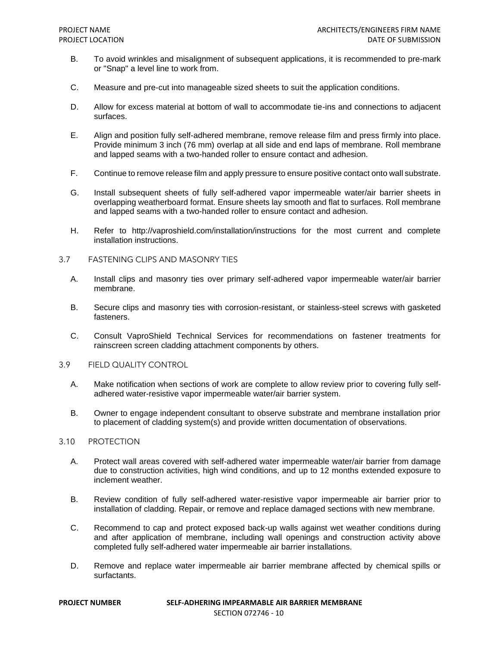- B. To avoid wrinkles and misalignment of subsequent applications, it is recommended to pre-mark or "Snap" a level line to work from.
- C. Measure and pre-cut into manageable sized sheets to suit the application conditions.
- D. Allow for excess material at bottom of wall to accommodate tie-ins and connections to adjacent surfaces.
- E. Align and position fully self-adhered membrane, remove release film and press firmly into place. Provide minimum 3 inch (76 mm) overlap at all side and end laps of membrane. Roll membrane and lapped seams with a two-handed roller to ensure contact and adhesion.
- F. Continue to remove release film and apply pressure to ensure positive contact onto wall substrate.
- G. Install subsequent sheets of fully self-adhered vapor impermeable water/air barrier sheets in overlapping weatherboard format. Ensure sheets lay smooth and flat to surfaces. Roll membrane and lapped seams with a two-handed roller to ensure contact and adhesion.
- H. Refer to http://vaproshield.com/installation/instructions for the most current and complete installation instructions.
- 3.7 FASTENING CLIPS AND MASONRY TIES
	- A. Install clips and masonry ties over primary self-adhered vapor impermeable water/air barrier membrane.
	- B. Secure clips and masonry ties with corrosion-resistant, or stainless-steel screws with gasketed fasteners.
	- C. Consult VaproShield Technical Services for recommendations on fastener treatments for rainscreen screen cladding attachment components by others.
- 3.9 FIELD QUALITY CONTROL
	- A. Make notification when sections of work are complete to allow review prior to covering fully selfadhered water-resistive vapor impermeable water/air barrier system.
	- B. Owner to engage independent consultant to observe substrate and membrane installation prior to placement of cladding system(s) and provide written documentation of observations.

### 3.10 PROTECTION

- A. Protect wall areas covered with self-adhered water impermeable water/air barrier from damage due to construction activities, high wind conditions, and up to 12 months extended exposure to inclement weather.
- B. Review condition of fully self-adhered water-resistive vapor impermeable air barrier prior to installation of cladding. Repair, or remove and replace damaged sections with new membrane.
- C. Recommend to cap and protect exposed back-up walls against wet weather conditions during and after application of membrane, including wall openings and construction activity above completed fully self-adhered water impermeable air barrier installations.
- D. Remove and replace water impermeable air barrier membrane affected by chemical spills or surfactants.